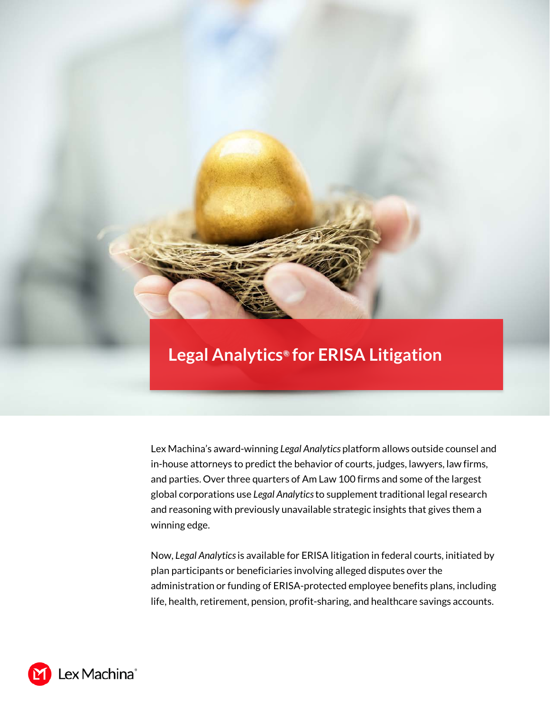## **Legal Analytics***®* **for ERISA Litigation**

Lex Machina's award-winning *Legal Analytics* platform allows outside counsel and in-house attorneys to predict the behavior of courts, judges, lawyers, law firms, and parties. Over three quarters of Am Law 100 firms and some of the largest global corporations use *Legal Analytics* to supplement traditional legal research and reasoning with previously unavailable strategic insights that gives them a winning edge.

Now, *Legal Analytics* is available for ERISA litigation in federal courts, initiated by plan participants or beneficiaries involving alleged disputes over the administration or funding of ERISA-protected employee benefits plans, including life, health, retirement, pension, profit-sharing, and healthcare savings accounts.